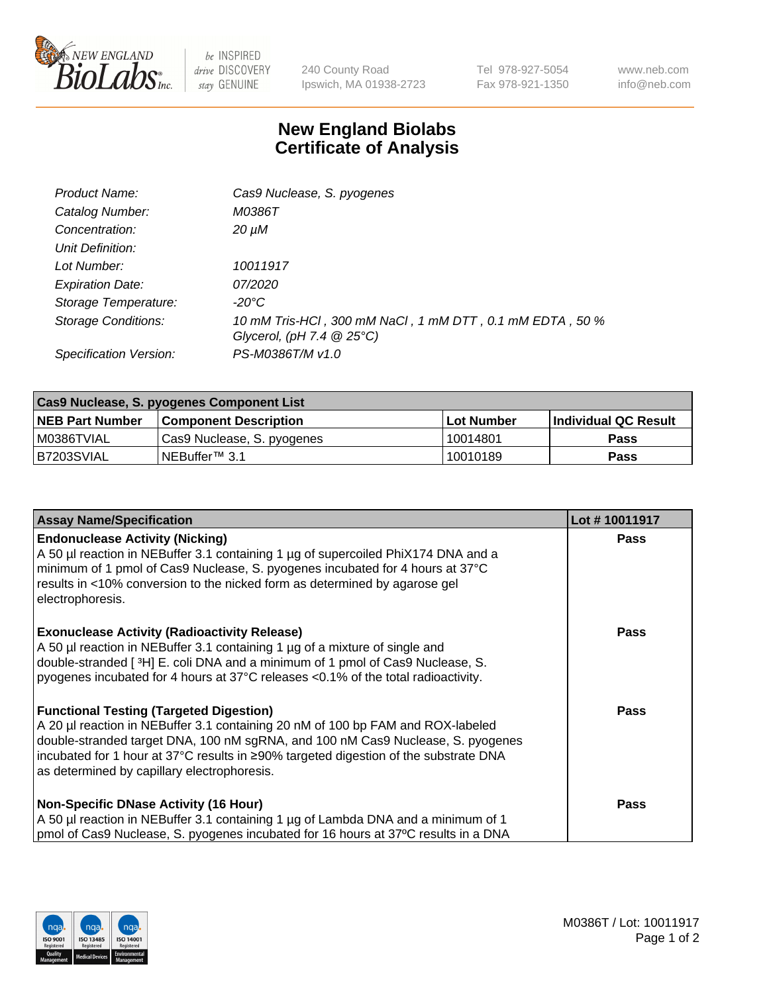

 $be$  INSPIRED drive DISCOVERY stay GENUINE

240 County Road Ipswich, MA 01938-2723 Tel 978-927-5054 Fax 978-921-1350 www.neb.com info@neb.com

## **New England Biolabs Certificate of Analysis**

| Product Name:              | Cas9 Nuclease, S. pyogenes                                                              |
|----------------------------|-----------------------------------------------------------------------------------------|
| Catalog Number:            | M0386T                                                                                  |
| Concentration:             | $20 \mu M$                                                                              |
| Unit Definition:           |                                                                                         |
| Lot Number:                | 10011917                                                                                |
| <b>Expiration Date:</b>    | <i>07/2020</i>                                                                          |
| Storage Temperature:       | $-20^{\circ}$ C                                                                         |
| <b>Storage Conditions:</b> | 10 mM Tris-HCl, 300 mM NaCl, 1 mM DTT, 0.1 mM EDTA, 50 %<br>Glycerol, (pH 7.4 $@25°C$ ) |
| Specification Version:     | PS-M0386T/M v1.0                                                                        |

| Cas9 Nuclease, S. pyogenes Component List |                              |                   |                      |  |
|-------------------------------------------|------------------------------|-------------------|----------------------|--|
| <b>NEB Part Number</b>                    | <b>Component Description</b> | <b>Lot Number</b> | Individual QC Result |  |
| I M0386TVIAL                              | Cas9 Nuclease, S. pyogenes   | 10014801          | <b>Pass</b>          |  |
| I B7203SVIAL                              | NEBuffer™ 3.1                | 10010189          | <b>Pass</b>          |  |

| <b>Assay Name/Specification</b>                                                                                                                                                                                                                                                                                                                             | Lot #10011917 |
|-------------------------------------------------------------------------------------------------------------------------------------------------------------------------------------------------------------------------------------------------------------------------------------------------------------------------------------------------------------|---------------|
| <b>Endonuclease Activity (Nicking)</b><br>A 50 µl reaction in NEBuffer 3.1 containing 1 µg of supercoiled PhiX174 DNA and a<br>minimum of 1 pmol of Cas9 Nuclease, S. pyogenes incubated for 4 hours at 37°C<br>results in <10% conversion to the nicked form as determined by agarose gel<br>electrophoresis.                                              | <b>Pass</b>   |
| <b>Exonuclease Activity (Radioactivity Release)</b><br>A 50 µl reaction in NEBuffer 3.1 containing 1 µg of a mixture of single and<br>double-stranded [3H] E. coli DNA and a minimum of 1 pmol of Cas9 Nuclease, S.<br>pyogenes incubated for 4 hours at 37°C releases <0.1% of the total radioactivity.                                                    | Pass          |
| <b>Functional Testing (Targeted Digestion)</b><br>A 20 µl reaction in NEBuffer 3.1 containing 20 nM of 100 bp FAM and ROX-labeled<br>double-stranded target DNA, 100 nM sgRNA, and 100 nM Cas9 Nuclease, S. pyogenes<br>incubated for 1 hour at 37°C results in ≥90% targeted digestion of the substrate DNA<br>as determined by capillary electrophoresis. | Pass          |
| <b>Non-Specific DNase Activity (16 Hour)</b><br>A 50 µl reaction in NEBuffer 3.1 containing 1 µg of Lambda DNA and a minimum of 1<br>pmol of Cas9 Nuclease, S. pyogenes incubated for 16 hours at 37°C results in a DNA                                                                                                                                     | Pass          |